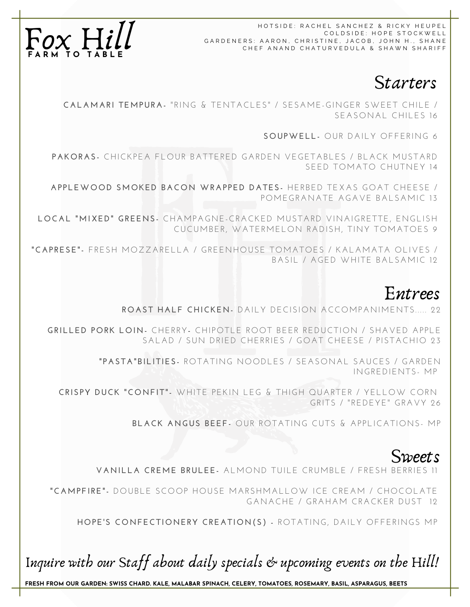HOTSIDE: RACHEL SANCHEZ & RICKY HEI COLDSIDE: HOPE STOCKWELL GARDENERS: AARON, CHRISTINE, JACOB, JOHN H., SHANE CHEF ANAND CHATURVEDULA & SHAWN SHARIFF



Starters

**CALAMARI TEMPURA-** " R ING & TENTACLES" / SESAME-GINGER SWEET CHILE / SEASONAL CHILES 16

SOUPWELL- OUR DAILY OFFERING 6

**PAKORAS-** CHICKPEA FLOUR BATTERED GARDEN VEGETABLES / BLACK MUSTARD SEED TOMATO CHUTNEY 14

**AP PLEWOOD SMOKED BACON WRAP PED DATES-** HERBED TEXAS GOAT CHEESE / POMEGRANATE AGAVE BALSAMIC 13

**LOCAL "MIXED" GREENS-** CHAMPAGNE-CRACKED MUSTARD VINAIGRETTE, ENGLISH CUCUMBER , WATERMELON RADISH, TINY TOMATOES 9

**"CAPRESE"-** FRESH MOZZARELLA / GREENHOUSE TOMATOES / KALAMATA OLIVES / BASIL / AGED WHITE BALSAMIC 12

# Entrees

**ROAST HALF CHICKEN-** DAILY DECISION ACCOMPANIMENTS.... 22

**GRILLED PORK LOIN-** CHERRY- CHIPOTLE ROOT BEER REDUCTION / SHAVED APPLE SALAD / SUN DRIED CHERRIES / GOAT CHEESE / PISTACHIO 23

> **" PASTA"BILITIES-** ROTATING NOODLES / SEASONAL SAUCES / GARDEN INGREDIENTS- MP

**CRISPY DUCK "CONFIT"-** WHITE PEKIN LEG & THIGH QUARTER / YELLOW CORN GRITS / "REDEYE" GRAVY 26

**BLACK ANGUS BEEF-** OUR ROTATING CUTS & APPLICATIONS- MP

# **Sweets**

**VANILLA CREME BRULEE-** ALMOND TUILE CRUMBLE / FRESH BERRIES 11

**"CAMPFI RE"-** DOUBLE SCOOP HOUSE MARSHMALLOW ICE CREAM / CHOCOLATE GANACHE / GRAHAM CRACKER DUST 12

**HOPE'S CONFECTIONERY CREATION(S) -** ROTATING, DAILY OFFER INGS MP

Inquire with our Staff about daily specials & upcoming events on the Hill!

**FRESH FROM OUR GARDEN: SWISS CHARD. KALE, MALABAR SPINACH, CELERY, TOMATOES, ROSEMARY, BASIL, ASPARAGUS, BEETS**